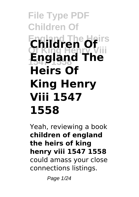# **File Type PDF Children Of Children Of Of King Henry Viii 1547 1558 England The Heirs Of King Henry Viii 1547 1558**

Yeah, reviewing a book **children of england the heirs of king henry viii 1547 1558** could amass your close connections listings.

Page 1/24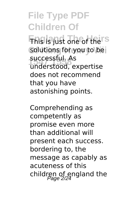**This is just one of the S** solutions for you to be **1547 1558** understood, expertise successful. As does not recommend that you have astonishing points.

Comprehending as competently as promise even more than additional will present each success. bordering to, the message as capably as acuteness of this children of england the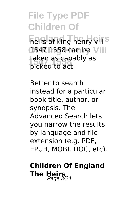**Fieirs of king henry viiis Of King Henry Viii** 1547 1558 can be **1547 1558** picked to act. taken as capably as

Better to search instead for a particular book title, author, or synopsis. The Advanced Search lets you narrow the results by language and file extension (e.g. PDF, EPUB, MOBI, DOC, etc).

### **Children Of England The Heirs** 2/24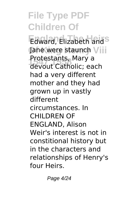Edward, Elizabeth and<sup>S</sup> Jane were staunch Viii **1547 1558** devout Catholic; each Protestants, Mary a had a very different mother and they had grown up in vastly different circumstances. In CHILDREN OF ENGLAND, Alison Weir's interest is not in constitional history but in the characters and relationships of Henry's four Heirs.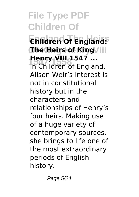**England The Heirs Children Of England: Of King Henry Viii The Heirs of King 1547 1558** In Children of England, **Henry VIII 1547 ...** Alison Weir's interest is not in constitutional history but in the characters and relationships of Henry's four heirs. Making use of a huge variety of contemporary sources, she brings to life one of the most extraordinary periods of English history.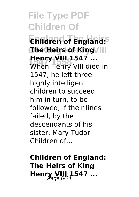**England The Heirs Children of England: Of King Henry Viii The Heirs of King Henry VIII 1547 ...**<br>When Henry VIII died in **Henry VIII 1547 ...** 1547, he left three highly intelligent children to succeed him in turn, to be followed, if their lines failed, by the descendants of his sister, Mary Tudor. Children of...

**Children of England: The Heirs of King Henry VIII 1547 ...**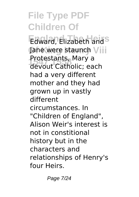Edward, Elizabeth and<sup>S</sup> Jane were staunch Viii **1547 1558** devout Catholic; each Protestants, Mary a had a very different mother and they had grown up in vastly different circumstances. In "Children of England", Alison Weir's interest is not in constitional history but in the characters and relationships of Henry's four Heirs.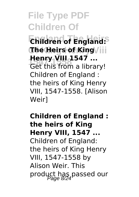**England The Heirs Children of England: Of King Henry Viii The Heirs of King 1547** ...<br>Get this from a library! **Henry VIII 1547 ...** Children of England : the heirs of King Henry VIII, 1547-1558. [Alison Weir]

**Children of England : the heirs of King Henry VIII, 1547 ...** Children of England: the heirs of King Henry VIII, 1547-1558 by Alison Weir. This product has passed our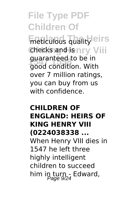**Eneticulous quality** eirs checks and isnry Viii guaranteed to be in<br>3889 condition, With good condition. With over 7 million ratings, you can buy from us with confidence.

#### **CHILDREN OF ENGLAND: HEIRS OF KING HENRY VIII (0224038338 ...** When Henry VIII dies in 1547 he left three highly intelligent children to succeed him in turn - Edward,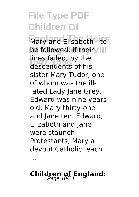**Mary and Elisabeth<sup>e</sup> to** be followed, if their Viii lines failed, by the<br>descendents of his descendents of his sister Mary Tudor, one of whom was the illfated Lady Jane Grey, Edward was nine years old, Mary thirty-one and Jane ten. Edward, Elizabeth and Jane were staunch Protestants, Mary a devout Catholic; each

## **Children of England:**

...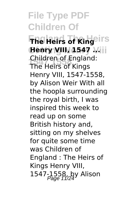### **File Type PDF Children Of England The Heirs The Heirs of King Henry VIII, 1547 Mill 1547 1558** The Heirs of Kings Children of England: Henry VIII, 1547-1558, by Alison Weir With all the hoopla surrounding the royal birth, I was inspired this week to read up on some British history and, sitting on my shelves for quite some time

was Children of England : The Heirs of Kings Henry VIII, 1547-1558, by Alison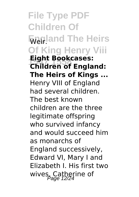**File Type PDF Children Of England The Heirs** Weir. **Of King Henry Viii 1547 1558 Children of England: Eight Bookcases: The Heirs of Kings ...** Henry VIII of England had several children. The best known children are the three legitimate offspring who survived infancy and would succeed him as monarchs of England successively, Edward VI, Mary I and Elizabeth I. His first two wives, Catherine of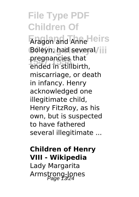**England The Heirs** Aragon and Anne Boleyn, had several/iii **1547 1558** ended in stillbirth, pregnancies that miscarriage, or death in infancy. Henry acknowledged one illegitimate child, Henry FitzRoy, as his own, but is suspected to have fathered several illegitimate ...

#### **Children of Henry VIII - Wikipedia**

Lady Margarita Armstrong-Jones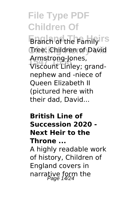**Branch of the Family ITS Of King Henry Viii** Tree: Children of David **1547 1558** Viscount Linley; grand-Armstrong-Jones, nephew and -niece of Queen Elizabeth II (pictured here with their dad, David...

#### **British Line of Succession 2020 - Next Heir to the Throne ...**

A highly readable work of history, Children of England covers in narrative form the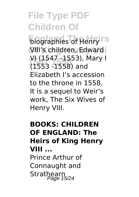**England The Henry ITS Of King Henry Viii** VIII's children, Edward **1547 1558** VI (1547 -1553), Mary I (1553 -1558) and Elizabeth I's accession to the throne in 1558. It is a sequel to Weir's work, The Six Wives of Henry VIII.

#### **BOOKS: CHILDREN OF ENGLAND: The Heirs of King Henry VIII ...** Prince Arthur of Connaught and Strathearn<br>Page 15/24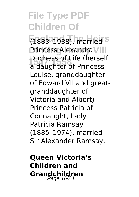**England The Heirs** (1883–1938), married Princess Alexandra, Viii **1547 1558** a daughter of Princess Duchess of Fife (herself Louise, granddaughter of Edward VII and greatgranddaughter of Victoria and Albert) Princess Patricia of Connaught, Lady Patricia Ramsay (1885–1974), married Sir Alexander Ramsay.

**Queen Victoria's Children and Grandchildren**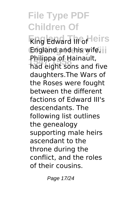**Edward III** of leirs **England and his wife, iii 1547 1558** had eight sons and five Philippa of Hainault, daughters.The Wars of the Roses were fought between the different factions of Edward III's descendants. The following list outlines the genealogy supporting male heirs ascendant to the throne during the conflict, and the roles of their cousins.

Page 17/24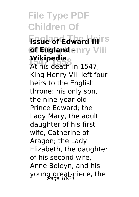**Fissue of Edward III**IS **Of England enry Viii Wikipedia**

*I***VIKIPedia**<br>At his death in 1547, King Henry VIII left four heirs to the English throne: his only son, the nine-year-old Prince Edward; the Lady Mary, the adult daughter of his first wife, Catherine of Aragon; the Lady Elizabeth, the daughter of his second wife, Anne Boleyn, and his young great-niece, the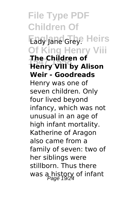**File Type PDF Children Of** Eady Jane Grey. Heirs **Of King Henry Viii 1547 1558 Henry VIII by Alison The Children of Weir - Goodreads** Henry was one of seven children. Only four lived beyond infancy, which was not unusual in an age of high infant mortality. Katherine of Aragon also came from a family of seven: two of her siblings were stillborn. Thus there was a history of infant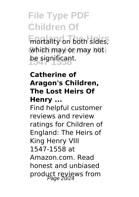**Enantality on both sides,** which may or may not **1547 1558** be significant.

#### **Catherine of Aragon's Children, The Lost Heirs Of Henry ...**

Find helpful customer reviews and review ratings for Children of England: The Heirs of King Henry VIII 1547-1558 at Amazon.com. Read honest and unbiased product reviews from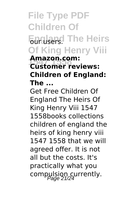### **File Type PDF Children Of England The Heirs Of King Henry Viii 1547 1558 Customer reviews: Amazon.com: Children of England: The ...**

Get Free Children Of England The Heirs Of King Henry Viii 1547 1558books collections children of england the heirs of king henry viii 1547 1558 that we will agreed offer. It is not all but the costs. It's practically what you compulsion currently.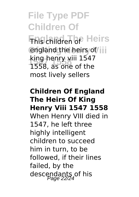### **File Type PDF Children Of England The Heirs** This children of england the heirs of iii **1547 1558** 1558, as one of the king henry viii 1547 most lively sellers

#### **Children Of England The Heirs Of King Henry Viii 1547 1558** When Henry VIII died in 1547, he left three highly intelligent children to succeed him in turn, to be followed, if their lines failed, by the descendants of his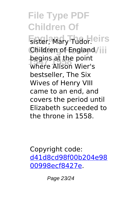Eister, Mary Tudor.leirs Children of England/iii **1547 1558** where Alison Wier's begins at the point bestseller, The Six Wives of Henry VIII came to an end, and covers the period until Elizabeth succeeded to the throne in 1558.

Copyright code: [d41d8cd98f00b204e98](/sitemap.xml) [00998ecf8427e.](/sitemap.xml)